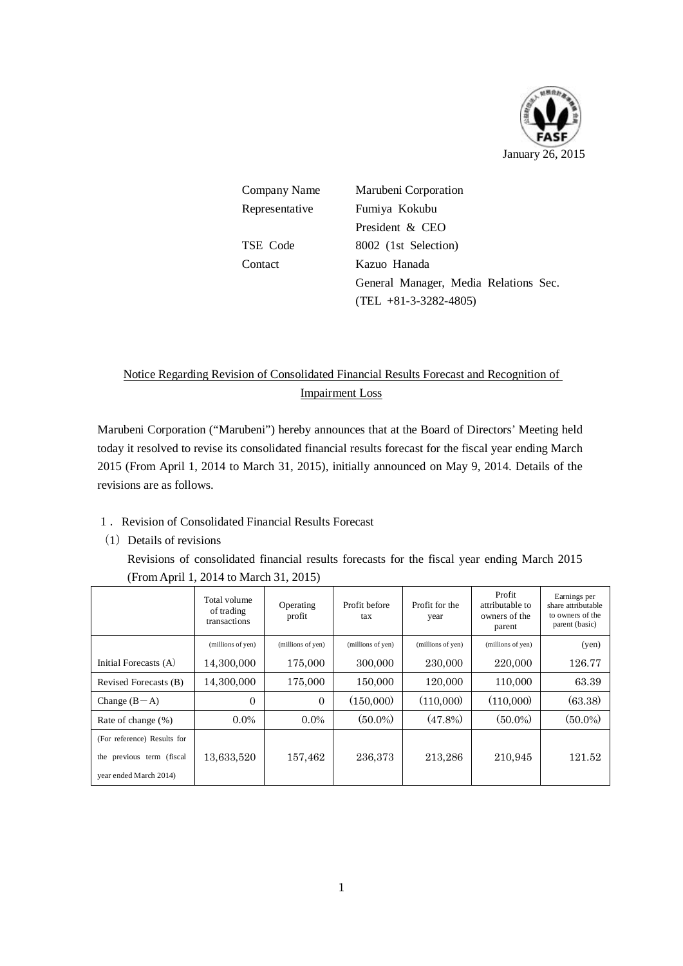

| Company Name   | Marubeni Corporation                  |  |  |  |
|----------------|---------------------------------------|--|--|--|
| Representative | Fumiya Kokubu                         |  |  |  |
|                | President & CEO                       |  |  |  |
| TSE Code       | 8002 (1st Selection)                  |  |  |  |
| Contact        | Kazuo Hanada                          |  |  |  |
|                | General Manager, Media Relations Sec. |  |  |  |
|                | $(TEL + 81 - 3 - 3282 - 4805)$        |  |  |  |

# Notice Regarding Revision of Consolidated Financial Results Forecast and Recognition of Impairment Loss

Marubeni Corporation ("Marubeni") hereby announces that at the Board of Directors' Meeting held today it resolved to revise its consolidated financial results forecast for the fiscal year ending March 2015 (From April 1, 2014 to March 31, 2015), initially announced on May 9, 2014. Details of the revisions are as follows.

# 1.Revision of Consolidated Financial Results Forecast

 $(1)$  Details of revisions

Revisions of consolidated financial results forecasts for the fiscal year ending March 2015 (From April 1, 2014 to March 31, 2015)

|                                                                                    | Total volume<br>of trading<br>transactions | Operating<br>profit | Profit before<br>tax | Profit for the<br>year | Profit<br>attributable to<br>owners of the<br>parent | Earnings per<br>share attributable<br>to owners of the<br>parent (basic) |
|------------------------------------------------------------------------------------|--------------------------------------------|---------------------|----------------------|------------------------|------------------------------------------------------|--------------------------------------------------------------------------|
|                                                                                    | (millions of yen)                          | (millions of yen)   | (millions of yen)    | (millions of yen)      | (millions of yen)                                    | (yen)                                                                    |
| Initial Forecasts (A)                                                              | 14,300,000                                 | 175,000             | 300,000              | 230,000                | 220,000                                              | 126.77                                                                   |
| Revised Forecasts (B)                                                              | 14,300,000                                 | 175,000             | 150,000              | 120,000                | 110,000                                              | 63.39                                                                    |
| Change $(B-A)$                                                                     | $\Omega$                                   | $\Omega$            | (150,000)            | (110,000)              | (110,000)                                            | (63.38)                                                                  |
| Rate of change (%)                                                                 | $0.0\%$                                    | $0.0\%$             | $(50.0\%)$           | $(47.8\%)$             | $(50.0\%)$                                           | $(50.0\%)$                                                               |
| (For reference) Results for<br>the previous term (fiscal<br>year ended March 2014) | 13,633,520                                 | 157,462             | 236,373              | 213,286                | 210,945                                              | 121.52                                                                   |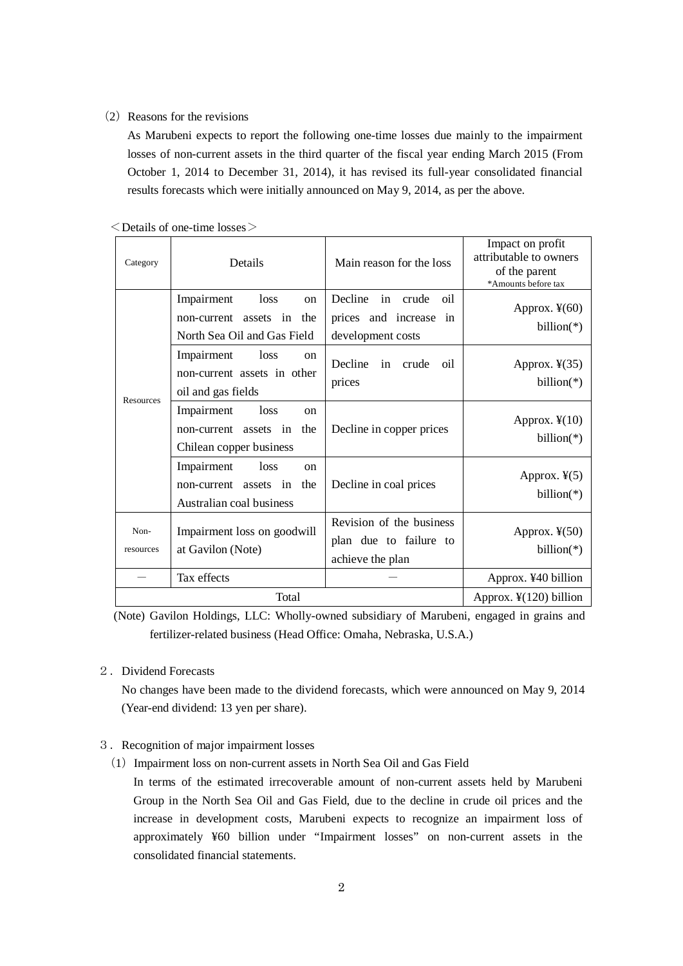# (2) Reasons for the revisions

As Marubeni expects to report the following one-time losses due mainly to the impairment losses of non-current assets in the third quarter of the fiscal year ending March 2015 (From October 1, 2014 to December 31, 2014), it has revised its full-year consolidated financial results forecasts which were initially announced on May 9, 2014, as per the above.

| Category          | Details                                                                                     | Main reason for the loss                                                        | Impact on profit<br>attributable to owners<br>of the parent<br>*Amounts before tax |
|-------------------|---------------------------------------------------------------------------------------------|---------------------------------------------------------------------------------|------------------------------------------------------------------------------------|
| Resources         | Impairment<br><b>loss</b><br>on<br>non-current assets in the<br>North Sea Oil and Gas Field | Decline<br>in<br>crude<br>oil<br>prices and increase<br>in<br>development costs | Approx. $\frac{1}{2}(60)$<br>$billion(*)$                                          |
|                   | Impairment<br>loss<br><sub>on</sub><br>non-current assets in other<br>oil and gas fields    | <b>Decline</b><br>in<br>crude<br>oil<br>prices                                  | Approx. $\frac{1}{2}(35)$<br>$billion(*)$                                          |
|                   | Impairment<br>loss<br><sub>on</sub><br>non-current assets in the<br>Chilean copper business | Decline in copper prices                                                        | Approx. $\frac{1}{2}(10)$<br>$billion(*)$                                          |
|                   | Impairment<br>loss<br>on<br>non-current assets in the<br>Australian coal business           | Decline in coal prices                                                          | Approx. $\frac{1}{2}(5)$<br>billion( $*$ )                                         |
| Non-<br>resources | Impairment loss on goodwill<br>at Gavilon (Note)                                            | Revision of the business<br>plan due to failure to<br>achieve the plan          | Approx. $\frac{1}{2}(50)$<br>billion( $*$ )                                        |
|                   | Tax effects                                                                                 |                                                                                 | Approx. ¥40 billion                                                                |
|                   | Total                                                                                       | Approx. $\frac{1}{2}(120)$ billion                                              |                                                                                    |

 $\leq$  Details of one-time losses  $>$ 

(Note) Gavilon Holdings, LLC: Wholly-owned subsidiary of Marubeni, engaged in grains and fertilizer-related business (Head Office: Omaha, Nebraska, U.S.A.)

2. Dividend Forecasts

No changes have been made to the dividend forecasts, which were announced on May 9, 2014 (Year-end dividend: 13 yen per share).

## 3.Recognition of major impairment losses

 $(1)$  Impairment loss on non-current assets in North Sea Oil and Gas Field

In terms of the estimated irrecoverable amount of non-current assets held by Marubeni Group in the North Sea Oil and Gas Field, due to the decline in crude oil prices and the increase in development costs, Marubeni expects to recognize an impairment loss of approximately ¥60 billion under "Impairment losses" on non-current assets in the consolidated financial statements.